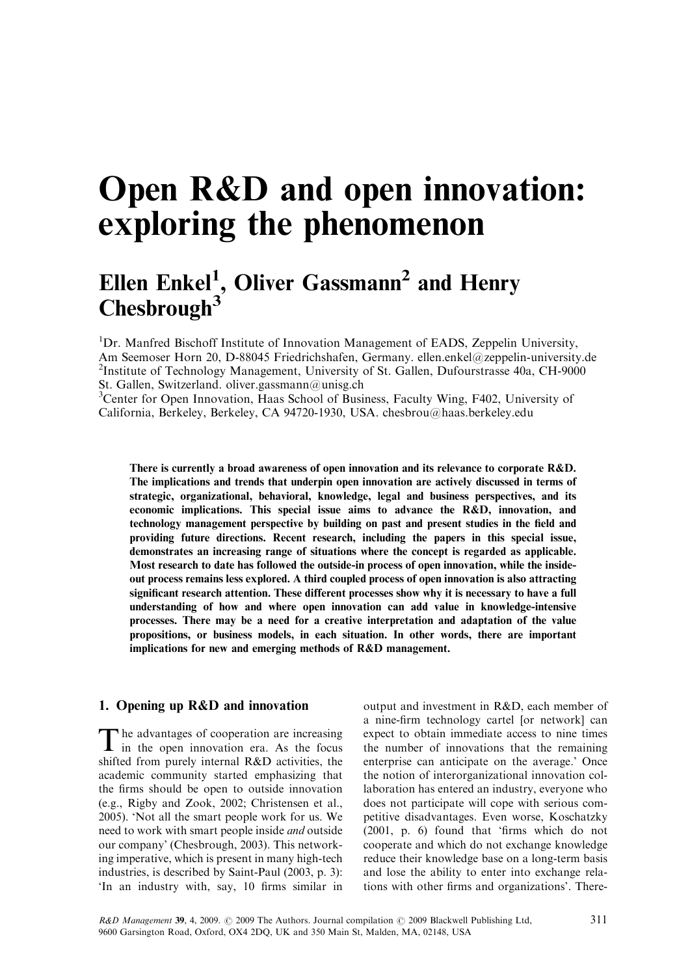# Open R&D and open innovation: exploring the phenomenon

# Ellen Enkel<sup>1</sup>, Oliver Gassmann<sup>2</sup> and Henry Chesbrough<sup>3</sup>

<sup>1</sup>Dr. Manfred Bischoff Institute of Innovation Management of EADS, Zeppelin University, Am Seemoser Horn 20, D-88045 Friedrichshafen, Germany. [ellen.enkel@zeppelin-university.de](mailto:ellen.enkel@zeppelin-university.de)<br><sup>[2](mailto:ellen.enkel@zeppelin-university.de)</sup>[Institute of Technology Management, University of St. Gallen, Dufourstrasse 40a, CH-9000](mailto:ellen.enkel@zeppelin-university.de) [St. Gallen, Switzerland. oliver.gassmann@unisg.ch](mailto:oliver.gassmann@unisg.ch)

<sup>[3](mailto:oliver.gassmann@unisg.ch)</sup>[Center for Open Innovation, Haas School of Business, Faculty Wing, F402, University of](mailto:oliver.gassmann@unisg.ch) [California, Berkeley, Berkeley, CA 94720-1930, USA. chesbrou@haas.berkeley.edu](mailto:chesbrou@haas.berkeley.edu)

There is currently a broad awareness of open innovation and its relevance to corporate R&D. The implications and trends that underpin open innovation are actively discussed in terms of strategic, organizational, behavioral, knowledge, legal and business perspectives, and its economic implications. This special issue aims to advance the R&D, innovation, and technology management perspective by building on past and present studies in the field and providing future directions. Recent research, including the papers in this special issue, demonstrates an increasing range of situations where the concept is regarded as applicable. Most research to date has followed the outside-in process of open innovation, while the insideout process remains less explored. A third coupled process of open innovation is also attracting significant research attention. These different processes show why it is necessary to have a full understanding of how and where open innovation can add value in knowledge-intensive processes. There may be a need for a creative interpretation and adaptation of the value propositions, or business models, in each situation. In other words, there are important implications for new and emerging methods of R&D management.

### 1. Opening up R&D and innovation

The advantages of cooperation are increasing in the open innovation era. As the focus shifted from purely internal R&D activities, the academic community started emphasizing that the firms should be open to outside innovation (e.g., Rigby and Zook, 2002; Christensen et al., 2005). 'Not all the smart people work for us. We need to work with smart people inside and outside our company' (Chesbrough, 2003). This networking imperative, which is present in many high-tech industries, is described by Saint-Paul (2003, p. 3): 'In an industry with, say, 10 firms similar in output and investment in R&D, each member of a nine-firm technology cartel [or network] can expect to obtain immediate access to nine times the number of innovations that the remaining enterprise can anticipate on the average.' Once the notion of interorganizational innovation collaboration has entered an industry, everyone who does not participate will cope with serious competitive disadvantages. Even worse, Koschatzky (2001, p. 6) found that 'firms which do not cooperate and which do not exchange knowledge reduce their knowledge base on a long-term basis and lose the ability to enter into exchange relations with other firms and organizations'. There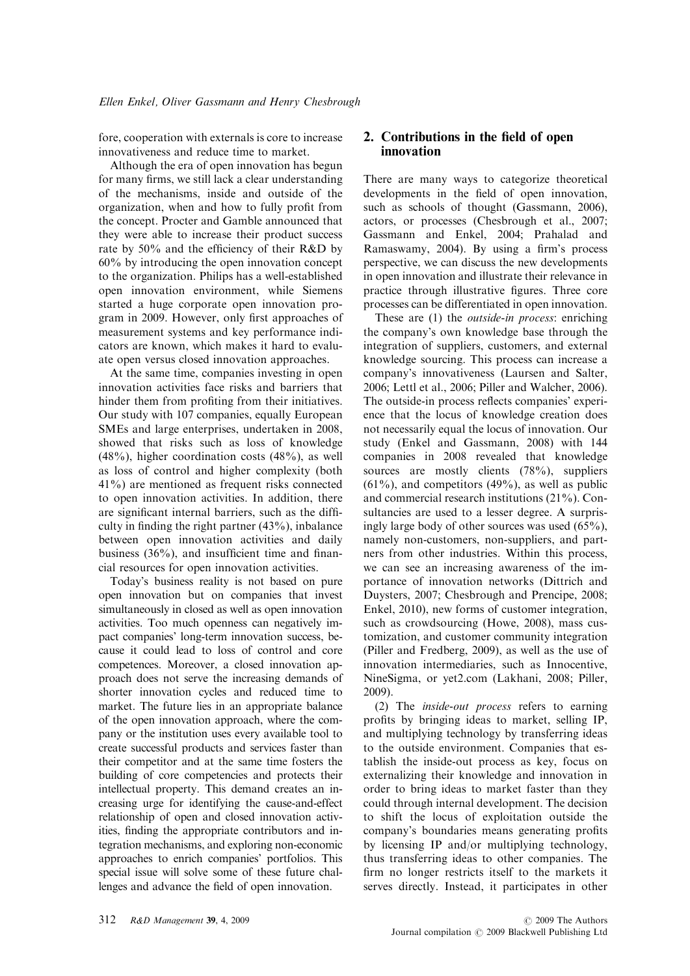fore, cooperation with externals is core to increase innovativeness and reduce time to market.

Although the era of open innovation has begun for many firms, we still lack a clear understanding of the mechanisms, inside and outside of the organization, when and how to fully profit from the concept. Procter and Gamble announced that they were able to increase their product success rate by 50% and the efficiency of their R&D by 60% by introducing the open innovation concept to the organization. Philips has a well-established open innovation environment, while Siemens started a huge corporate open innovation program in 2009. However, only first approaches of measurement systems and key performance indicators are known, which makes it hard to evaluate open versus closed innovation approaches.

At the same time, companies investing in open innovation activities face risks and barriers that hinder them from profiting from their initiatives. Our study with 107 companies, equally European SMEs and large enterprises, undertaken in 2008, showed that risks such as loss of knowledge (48%), higher coordination costs (48%), as well as loss of control and higher complexity (both 41%) are mentioned as frequent risks connected to open innovation activities. In addition, there are significant internal barriers, such as the difficulty in finding the right partner (43%), inbalance between open innovation activities and daily business (36%), and insufficient time and financial resources for open innovation activities.

Today's business reality is not based on pure open innovation but on companies that invest simultaneously in closed as well as open innovation activities. Too much openness can negatively impact companies' long-term innovation success, because it could lead to loss of control and core competences. Moreover, a closed innovation approach does not serve the increasing demands of shorter innovation cycles and reduced time to market. The future lies in an appropriate balance of the open innovation approach, where the company or the institution uses every available tool to create successful products and services faster than their competitor and at the same time fosters the building of core competencies and protects their intellectual property. This demand creates an increasing urge for identifying the cause-and-effect relationship of open and closed innovation activities, finding the appropriate contributors and integration mechanisms, and exploring non-economic approaches to enrich companies' portfolios. This special issue will solve some of these future challenges and advance the field of open innovation.

### 2. Contributions in the field of open innovation

There are many ways to categorize theoretical developments in the field of open innovation, such as schools of thought (Gassmann, 2006), actors, or processes (Chesbrough et al., 2007; Gassmann and Enkel, 2004; Prahalad and Ramaswamy, 2004). By using a firm's process perspective, we can discuss the new developments in open innovation and illustrate their relevance in practice through illustrative figures. Three core processes can be differentiated in open innovation.

These are (1) the *outside-in process*: enriching the company's own knowledge base through the integration of suppliers, customers, and external knowledge sourcing. This process can increase a company's innovativeness (Laursen and Salter, 2006; Lettl et al., 2006; Piller and Walcher, 2006). The outside-in process reflects companies' experience that the locus of knowledge creation does not necessarily equal the locus of innovation. Our study (Enkel and Gassmann, 2008) with 144 companies in 2008 revealed that knowledge sources are mostly clients (78%), suppliers  $(61\%)$ , and competitors  $(49\%)$ , as well as public and commercial research institutions (21%). Consultancies are used to a lesser degree. A surprisingly large body of other sources was used (65%), namely non-customers, non-suppliers, and partners from other industries. Within this process, we can see an increasing awareness of the importance of innovation networks (Dittrich and Duysters, 2007; Chesbrough and Prencipe, 2008; Enkel, 2010), new forms of customer integration, such as crowdsourcing (Howe, 2008), mass customization, and customer community integration (Piller and Fredberg, 2009), as well as the use of innovation intermediaries, such as Innocentive, NineSigma, or yet2.com (Lakhani, 2008; Piller, 2009).

(2) The inside-out process refers to earning profits by bringing ideas to market, selling IP, and multiplying technology by transferring ideas to the outside environment. Companies that establish the inside-out process as key, focus on externalizing their knowledge and innovation in order to bring ideas to market faster than they could through internal development. The decision to shift the locus of exploitation outside the company's boundaries means generating profits by licensing IP and/or multiplying technology, thus transferring ideas to other companies. The firm no longer restricts itself to the markets it serves directly. Instead, it participates in other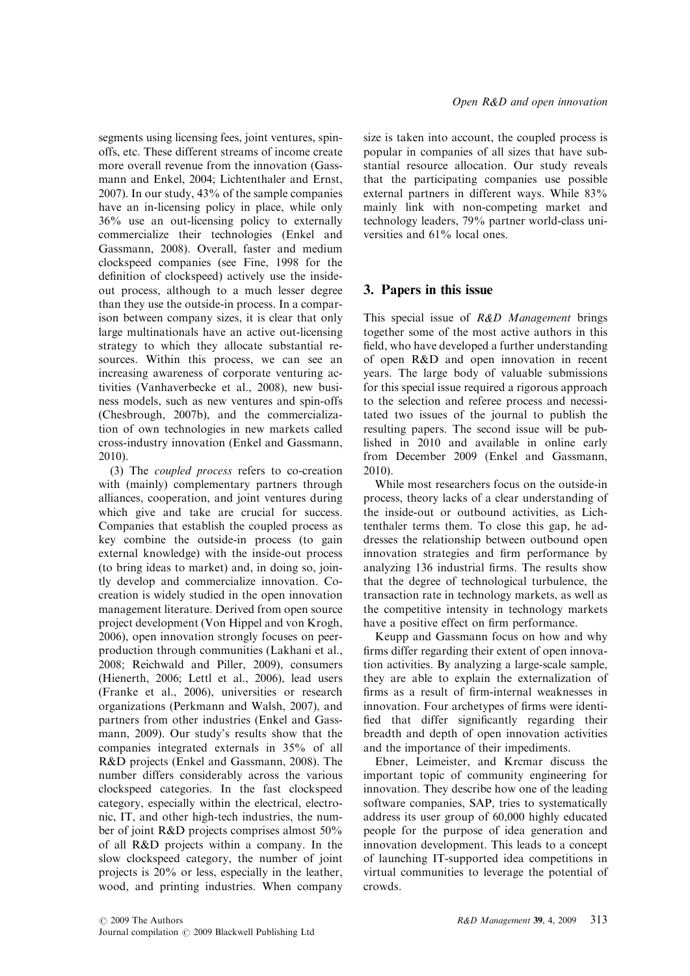segments using licensing fees, joint ventures, spinoffs, etc. These different streams of income create more overall revenue from the innovation (Gassmann and Enkel, 2004; Lichtenthaler and Ernst, 2007). In our study, 43% of the sample companies have an in-licensing policy in place, while only 36% use an out-licensing policy to externally commercialize their technologies (Enkel and Gassmann, 2008). Overall, faster and medium clockspeed companies (see Fine, 1998 for the definition of clockspeed) actively use the insideout process, although to a much lesser degree than they use the outside-in process. In a comparison between company sizes, it is clear that only large multinationals have an active out-licensing strategy to which they allocate substantial resources. Within this process, we can see an increasing awareness of corporate venturing activities (Vanhaverbecke et al., 2008), new business models, such as new ventures and spin-offs (Chesbrough, 2007b), and the commercialization of own technologies in new markets called cross-industry innovation (Enkel and Gassmann, 2010).

(3) The coupled process refers to co-creation with (mainly) complementary partners through alliances, cooperation, and joint ventures during which give and take are crucial for success. Companies that establish the coupled process as key combine the outside-in process (to gain external knowledge) with the inside-out process (to bring ideas to market) and, in doing so, jointly develop and commercialize innovation. Cocreation is widely studied in the open innovation management literature. Derived from open source project development (Von Hippel and von Krogh, 2006), open innovation strongly focuses on peerproduction through communities (Lakhani et al., 2008; Reichwald and Piller, 2009), consumers (Hienerth, 2006; Lettl et al., 2006), lead users (Franke et al., 2006), universities or research organizations (Perkmann and Walsh, 2007), and partners from other industries (Enkel and Gassmann, 2009). Our study's results show that the companies integrated externals in 35% of all R&D projects (Enkel and Gassmann, 2008). The number differs considerably across the various clockspeed categories. In the fast clockspeed category, especially within the electrical, electronic, IT, and other high-tech industries, the number of joint R&D projects comprises almost 50% of all R&D projects within a company. In the slow clockspeed category, the number of joint projects is 20% or less, especially in the leather, wood, and printing industries. When company

size is taken into account, the coupled process is popular in companies of all sizes that have substantial resource allocation. Our study reveals that the participating companies use possible external partners in different ways. While 83% mainly link with non-competing market and technology leaders, 79% partner world-class universities and 61% local ones.

## 3. Papers in this issue

This special issue of R&D Management brings together some of the most active authors in this field, who have developed a further understanding of open R&D and open innovation in recent years. The large body of valuable submissions for this special issue required a rigorous approach to the selection and referee process and necessitated two issues of the journal to publish the resulting papers. The second issue will be published in 2010 and available in online early from December 2009 (Enkel and Gassmann, 2010).

While most researchers focus on the outside-in process, theory lacks of a clear understanding of the inside-out or outbound activities, as Lichtenthaler terms them. To close this gap, he addresses the relationship between outbound open innovation strategies and firm performance by analyzing 136 industrial firms. The results show that the degree of technological turbulence, the transaction rate in technology markets, as well as the competitive intensity in technology markets have a positive effect on firm performance.

Keupp and Gassmann focus on how and why firms differ regarding their extent of open innovation activities. By analyzing a large-scale sample, they are able to explain the externalization of firms as a result of firm-internal weaknesses in innovation. Four archetypes of firms were identified that differ significantly regarding their breadth and depth of open innovation activities and the importance of their impediments.

Ebner, Leimeister, and Krcmar discuss the important topic of community engineering for innovation. They describe how one of the leading software companies, SAP, tries to systematically address its user group of 60,000 highly educated people for the purpose of idea generation and innovation development. This leads to a concept of launching IT-supported idea competitions in virtual communities to leverage the potential of crowds.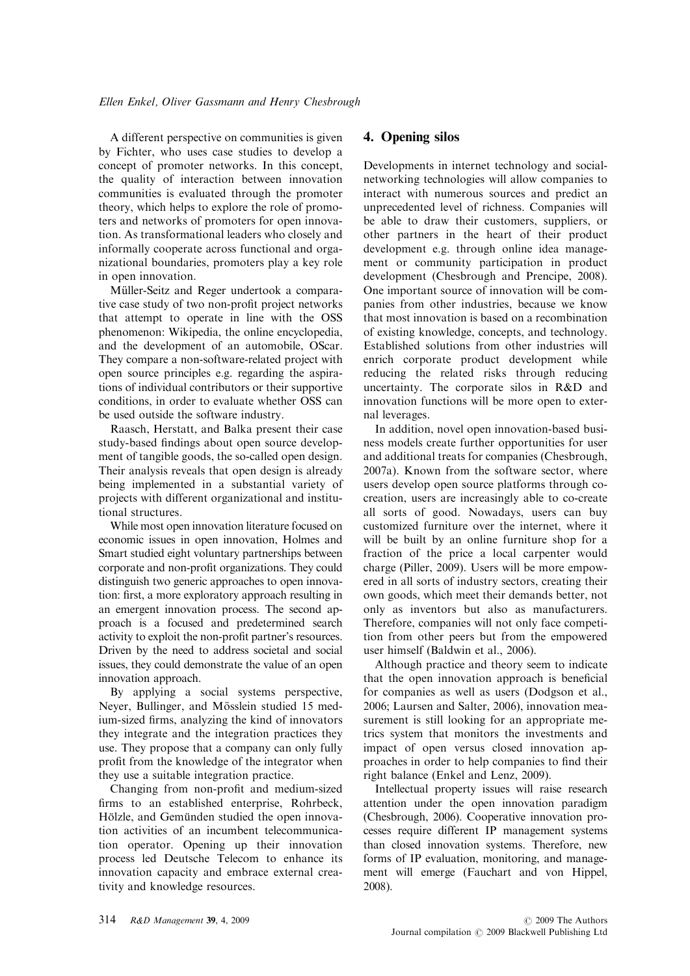A different perspective on communities is given by Fichter, who uses case studies to develop a concept of promoter networks. In this concept, the quality of interaction between innovation communities is evaluated through the promoter theory, which helps to explore the role of promoters and networks of promoters for open innovation. As transformational leaders who closely and informally cooperate across functional and organizational boundaries, promoters play a key role in open innovation.

Müller-Seitz and Reger undertook a comparative case study of two non-profit project networks that attempt to operate in line with the OSS phenomenon: Wikipedia, the online encyclopedia, and the development of an automobile, OScar. They compare a non-software-related project with open source principles e.g. regarding the aspirations of individual contributors or their supportive conditions, in order to evaluate whether OSS can be used outside the software industry.

Raasch, Herstatt, and Balka present their case study-based findings about open source development of tangible goods, the so-called open design. Their analysis reveals that open design is already being implemented in a substantial variety of projects with different organizational and institutional structures.

While most open innovation literature focused on economic issues in open innovation, Holmes and Smart studied eight voluntary partnerships between corporate and non-profit organizations. They could distinguish two generic approaches to open innovation: first, a more exploratory approach resulting in an emergent innovation process. The second approach is a focused and predetermined search activity to exploit the non-profit partner's resources. Driven by the need to address societal and social issues, they could demonstrate the value of an open innovation approach.

By applying a social systems perspective, Neyer, Bullinger, and Mösslein studied 15 medium-sized firms, analyzing the kind of innovators they integrate and the integration practices they use. They propose that a company can only fully profit from the knowledge of the integrator when they use a suitable integration practice.

Changing from non-profit and medium-sized firms to an established enterprise, Rohrbeck, Hölzle, and Gemünden studied the open innovation activities of an incumbent telecommunication operator. Opening up their innovation process led Deutsche Telecom to enhance its innovation capacity and embrace external creativity and knowledge resources.

#### 4. Opening silos

Developments in internet technology and socialnetworking technologies will allow companies to interact with numerous sources and predict an unprecedented level of richness. Companies will be able to draw their customers, suppliers, or other partners in the heart of their product development e.g. through online idea management or community participation in product development (Chesbrough and Prencipe, 2008). One important source of innovation will be companies from other industries, because we know that most innovation is based on a recombination of existing knowledge, concepts, and technology. Established solutions from other industries will enrich corporate product development while reducing the related risks through reducing uncertainty. The corporate silos in R&D and innovation functions will be more open to external leverages.

In addition, novel open innovation-based business models create further opportunities for user and additional treats for companies (Chesbrough, 2007a). Known from the software sector, where users develop open source platforms through cocreation, users are increasingly able to co-create all sorts of good. Nowadays, users can buy customized furniture over the internet, where it will be built by an online furniture shop for a fraction of the price a local carpenter would charge (Piller, 2009). Users will be more empowered in all sorts of industry sectors, creating their own goods, which meet their demands better, not only as inventors but also as manufacturers. Therefore, companies will not only face competition from other peers but from the empowered user himself (Baldwin et al., 2006).

Although practice and theory seem to indicate that the open innovation approach is beneficial for companies as well as users (Dodgson et al., 2006; Laursen and Salter, 2006), innovation measurement is still looking for an appropriate metrics system that monitors the investments and impact of open versus closed innovation approaches in order to help companies to find their right balance (Enkel and Lenz, 2009).

Intellectual property issues will raise research attention under the open innovation paradigm (Chesbrough, 2006). Cooperative innovation processes require different IP management systems than closed innovation systems. Therefore, new forms of IP evaluation, monitoring, and management will emerge (Fauchart and von Hippel, 2008).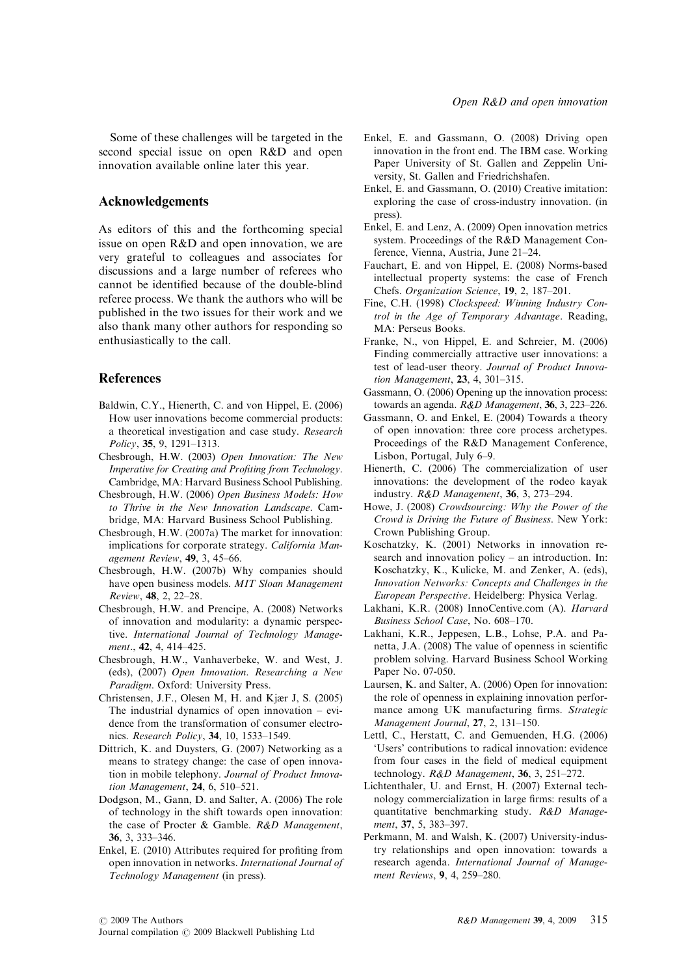#### Acknowledgements

As editors of this and the forthcoming special issue on open R&D and open innovation, we are very grateful to colleagues and associates for discussions and a large number of referees who cannot be identified because of the double-blind referee process. We thank the authors who will be published in the two issues for their work and we also thank many other authors for responding so enthusiastically to the call.

#### **References**

- Baldwin, C.Y., Hienerth, C. and von Hippel, E. (2006) How user innovations become commercial products: a theoretical investigation and case study. Research Policy, 35, 9, 1291–1313.
- Chesbrough, H.W. (2003) Open Innovation: The New Imperative for Creating and Profiting from Technology. Cambridge, MA: Harvard Business School Publishing.
- Chesbrough, H.W. (2006) Open Business Models: How to Thrive in the New Innovation Landscape. Cambridge, MA: Harvard Business School Publishing.
- Chesbrough, H.W. (2007a) The market for innovation: implications for corporate strategy. California Management Review, 49, 3, 45–66.
- Chesbrough, H.W. (2007b) Why companies should have open business models. MIT Sloan Management Review, 48, 2, 22–28.
- Chesbrough, H.W. and Prencipe, A. (2008) Networks of innovation and modularity: a dynamic perspective. International Journal of Technology Management., 42, 4, 414–425.
- Chesbrough, H.W., Vanhaverbeke, W. and West, J. (eds), (2007) Open Innovation. Researching a New Paradigm. Oxford: University Press.
- Christensen, J.F., Olesen M, H. and Kjær J, S. (2005) The industrial dynamics of open innovation  $-$  evidence from the transformation of consumer electronics. Research Policy, 34, 10, 1533–1549.
- Dittrich, K. and Duysters, G. (2007) Networking as a means to strategy change: the case of open innovation in mobile telephony. Journal of Product Innovation Management, 24, 6, 510–521.
- Dodgson, M., Gann, D. and Salter, A. (2006) The role of technology in the shift towards open innovation: the case of Procter & Gamble. R&D Management, 36, 3, 333–346.
- Enkel, E. (2010) Attributes required for profiting from open innovation in networks. International Journal of Technology Management (in press).
- Enkel, E. and Gassmann, O. (2008) Driving open innovation in the front end. The IBM case. Working Paper University of St. Gallen and Zeppelin University, St. Gallen and Friedrichshafen.
- Enkel, E. and Gassmann, O. (2010) Creative imitation: exploring the case of cross-industry innovation. (in press).
- Enkel, E. and Lenz, A. (2009) Open innovation metrics system. Proceedings of the R&D Management Conference, Vienna, Austria, June 21–24.
- Fauchart, E. and von Hippel, E. (2008) Norms-based intellectual property systems: the case of French Chefs. Organization Science, 19, 2, 187–201.
- Fine, C.H. (1998) Clockspeed: Winning Industry Control in the Age of Temporary Advantage. Reading, MA: Perseus Books.
- Franke, N., von Hippel, E. and Schreier, M. (2006) Finding commercially attractive user innovations: a test of lead-user theory. Journal of Product Innovation Management, 23, 4, 301–315.
- Gassmann, O. (2006) Opening up the innovation process: towards an agenda. R&D Management, 36, 3, 223-226.
- Gassmann, O. and Enkel, E. (2004) Towards a theory of open innovation: three core process archetypes. Proceedings of the R&D Management Conference, Lisbon, Portugal, July 6–9.
- Hienerth, C. (2006) The commercialization of user innovations: the development of the rodeo kayak industry. R&D Management, 36, 3, 273–294.
- Howe, J. (2008) Crowdsourcing: Why the Power of the Crowd is Driving the Future of Business. New York: Crown Publishing Group.
- Koschatzky, K. (2001) Networks in innovation research and innovation policy – an introduction. In: Koschatzky, K., Kulicke, M. and Zenker, A. (eds), Innovation Networks: Concepts and Challenges in the European Perspective. Heidelberg: Physica Verlag.
- Lakhani, K.R. (2008) InnoCentive.com (A). Harvard Business School Case, No. 608–170.
- Lakhani, K.R., Jeppesen, L.B., Lohse, P.A. and Panetta, J.A. (2008) The value of openness in scientific problem solving. Harvard Business School Working Paper No. 07-050.
- Laursen, K. and Salter, A. (2006) Open for innovation: the role of openness in explaining innovation performance among UK manufacturing firms. Strategic Management Journal, 27, 2, 131–150.
- Lettl, C., Herstatt, C. and Gemuenden, H.G. (2006) 'Users' contributions to radical innovation: evidence from four cases in the field of medical equipment technology. R&D Management, 36, 3, 251-272.
- Lichtenthaler, U. and Ernst, H. (2007) External technology commercialization in large firms: results of a quantitative benchmarking study. R&D Management, 37, 5, 383–397.
- Perkmann, M. and Walsh, K. (2007) University-industry relationships and open innovation: towards a research agenda. International Journal of Management Reviews, 9, 4, 259–280.